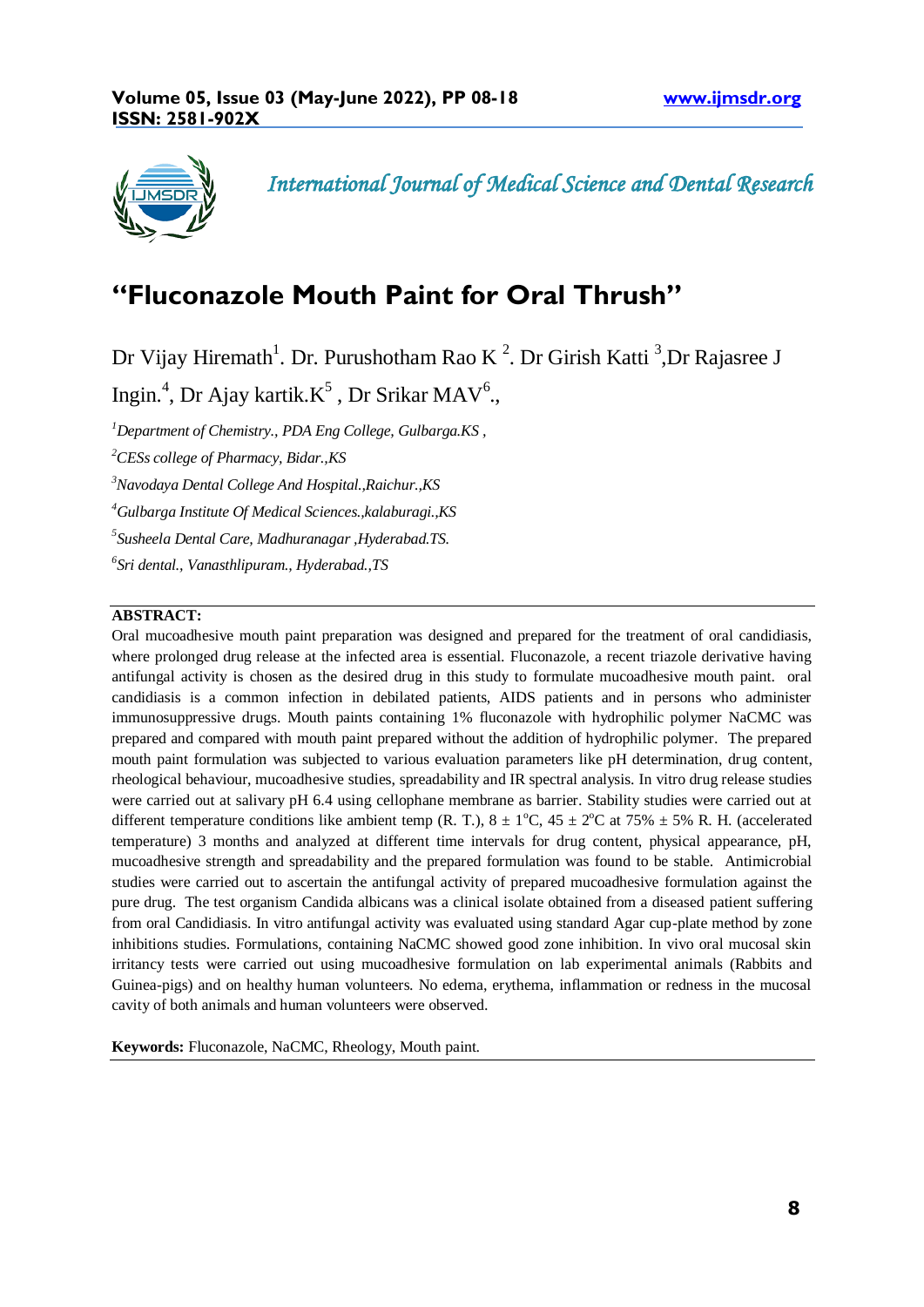

*International Journal of Medical Science and Dental Research* 

# **"Fluconazole Mouth Paint for Oral Thrush"**

Dr Vijay Hiremath<sup>1</sup>. Dr. Purushotham Rao K<sup>2</sup>. Dr Girish Katti<sup>3</sup>, Dr Rajasree J

Ingin.<sup>4</sup>, Dr Ajay kartik. $K^5$ , Dr Srikar MAV<sup>6</sup>.,

 *<sup>1</sup>Department of Chemistry., PDA Eng College, Gulbarga.KS , CESs college of Pharmacy, Bidar.,KS Navodaya Dental College And Hospital.,Raichur.,KS Gulbarga Institute Of Medical Sciences.,kalaburagi.,KS Susheela Dental Care, Madhuranagar ,Hyderabad.TS. Sri dental., Vanasthlipuram., Hyderabad.,TS*

## **ABSTRACT:**

Oral mucoadhesive mouth paint preparation was designed and prepared for the treatment of oral candidiasis, where prolonged drug release at the infected area is essential. Fluconazole, a recent triazole derivative having antifungal activity is chosen as the desired drug in this study to formulate mucoadhesive mouth paint. oral candidiasis is a common infection in debilated patients, AIDS patients and in persons who administer immunosuppressive drugs. Mouth paints containing 1% fluconazole with hydrophilic polymer NaCMC was prepared and compared with mouth paint prepared without the addition of hydrophilic polymer. The prepared mouth paint formulation was subjected to various evaluation parameters like pH determination, drug content, rheological behaviour, mucoadhesive studies, spreadability and IR spectral analysis. In vitro drug release studies were carried out at salivary pH 6.4 using cellophane membrane as barrier. Stability studies were carried out at different temperature conditions like ambient temp (R. T.),  $8 \pm 1^{\circ}$ C,  $45 \pm 2^{\circ}$ C at 75%  $\pm 5$ % R. H. (accelerated temperature) 3 months and analyzed at different time intervals for drug content, physical appearance, pH, mucoadhesive strength and spreadability and the prepared formulation was found to be stable. Antimicrobial studies were carried out to ascertain the antifungal activity of prepared mucoadhesive formulation against the pure drug. The test organism Candida albicans was a clinical isolate obtained from a diseased patient suffering from oral Candidiasis. In vitro antifungal activity was evaluated using standard Agar cup-plate method by zone inhibitions studies. Formulations, containing NaCMC showed good zone inhibition. In vivo oral mucosal skin irritancy tests were carried out using mucoadhesive formulation on lab experimental animals (Rabbits and Guinea-pigs) and on healthy human volunteers. No edema, erythema, inflammation or redness in the mucosal cavity of both animals and human volunteers were observed.

**Keywords:** Fluconazole, NaCMC, Rheology, Mouth paint.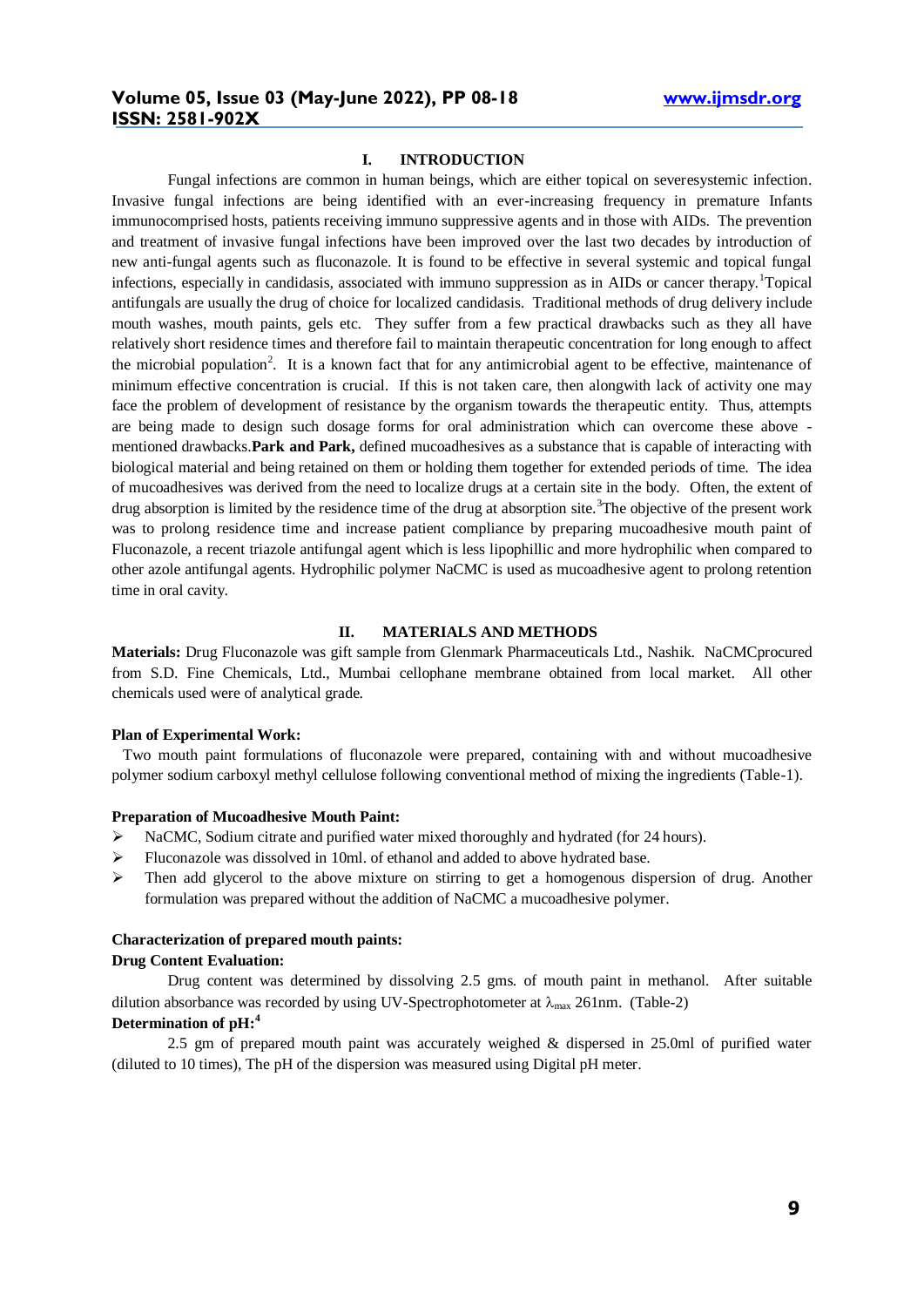#### **I. INTRODUCTION**

Fungal infections are common in human beings, which are either topical on severesystemic infection. Invasive fungal infections are being identified with an ever-increasing frequency in premature Infants immunocomprised hosts, patients receiving immuno suppressive agents and in those with AIDs. The prevention and treatment of invasive fungal infections have been improved over the last two decades by introduction of new anti-fungal agents such as fluconazole. It is found to be effective in several systemic and topical fungal infections, especially in candidasis, associated with immuno suppression as in AIDs or cancer therapy.<sup>1</sup>Topical antifungals are usually the drug of choice for localized candidasis. Traditional methods of drug delivery include mouth washes, mouth paints, gels etc. They suffer from a few practical drawbacks such as they all have relatively short residence times and therefore fail to maintain therapeutic concentration for long enough to affect the microbial population<sup>2</sup>. It is a known fact that for any antimicrobial agent to be effective, maintenance of minimum effective concentration is crucial. If this is not taken care, then alongwith lack of activity one may face the problem of development of resistance by the organism towards the therapeutic entity. Thus, attempts are being made to design such dosage forms for oral administration which can overcome these above mentioned drawbacks.**Park and Park,** defined mucoadhesives as a substance that is capable of interacting with biological material and being retained on them or holding them together for extended periods of time. The idea of mucoadhesives was derived from the need to localize drugs at a certain site in the body. Often, the extent of drug absorption is limited by the residence time of the drug at absorption site.<sup>3</sup>The objective of the present work was to prolong residence time and increase patient compliance by preparing mucoadhesive mouth paint of Fluconazole, a recent triazole antifungal agent which is less lipophillic and more hydrophilic when compared to other azole antifungal agents. Hydrophilic polymer NaCMC is used as mucoadhesive agent to prolong retention time in oral cavity.

## **II. MATERIALS AND METHODS**

**Materials:** Drug Fluconazole was gift sample from Glenmark Pharmaceuticals Ltd., Nashik. NaCMCprocured from S.D. Fine Chemicals, Ltd., Mumbai cellophane membrane obtained from local market. All other chemicals used were of analytical grade.

#### **Plan of Experimental Work:**

Two mouth paint formulations of fluconazole were prepared, containing with and without mucoadhesive polymer sodium carboxyl methyl cellulose following conventional method of mixing the ingredients (Table-1).

### **Preparation of Mucoadhesive Mouth Paint:**

- NaCMC, Sodium citrate and purified water mixed thoroughly and hydrated (for 24 hours).
- $\triangleright$  Fluconazole was dissolved in 10ml. of ethanol and added to above hydrated base.
- $\triangleright$  Then add glycerol to the above mixture on stirring to get a homogenous dispersion of drug. Another formulation was prepared without the addition of NaCMC a mucoadhesive polymer.

#### **Characterization of prepared mouth paints:**

### **Drug Content Evaluation:**

Drug content was determined by dissolving 2.5 gms. of mouth paint in methanol. After suitable dilution absorbance was recorded by using UV-Spectrophotometer at  $\lambda_{\text{max}}$  261nm. (Table-2)

# **Determination of pH:<sup>4</sup>**

2.5 gm of prepared mouth paint was accurately weighed & dispersed in 25.0ml of purified water (diluted to 10 times), The pH of the dispersion was measured using Digital pH meter.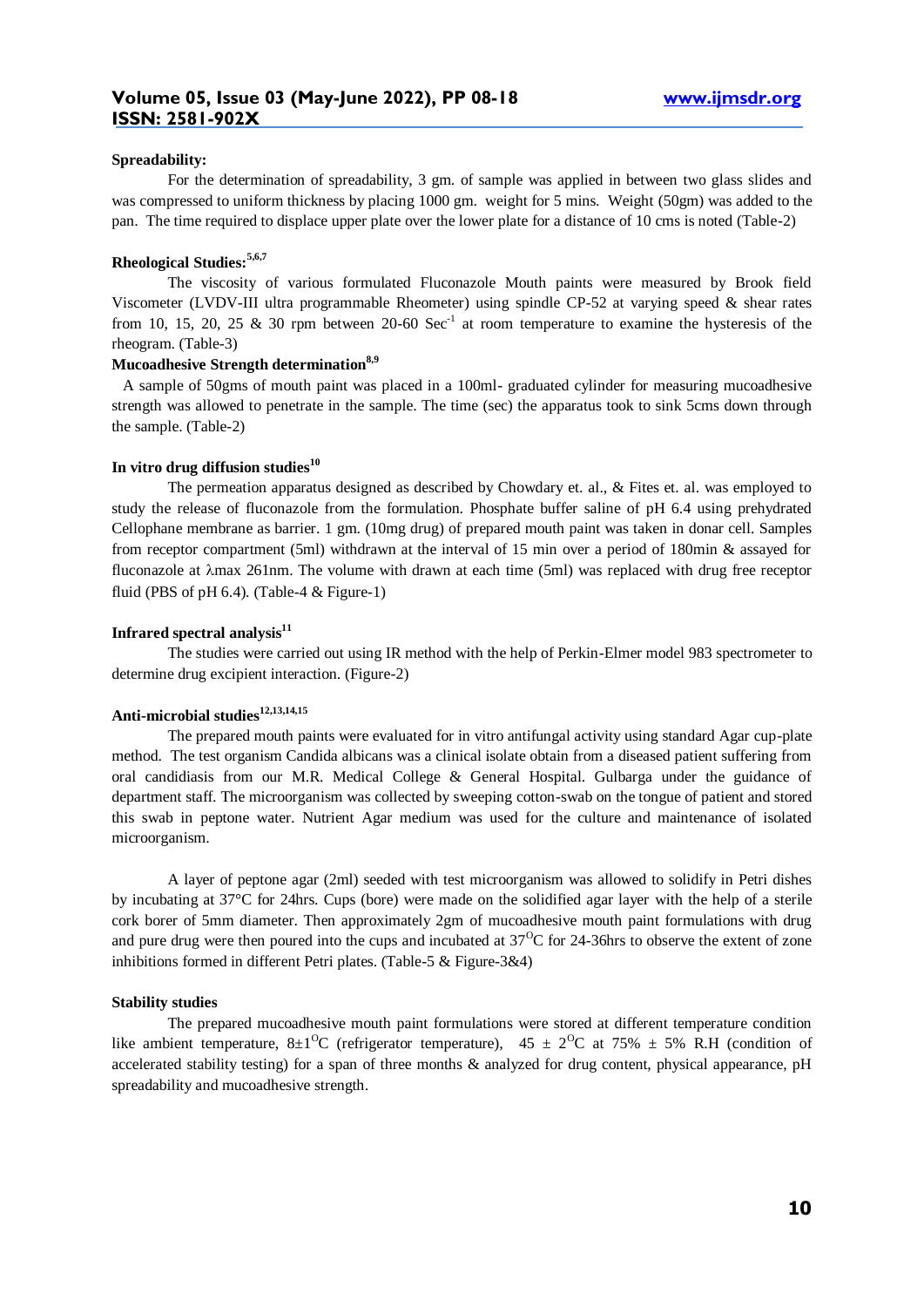### **Spreadability:**

For the determination of spreadability, 3 gm. of sample was applied in between two glass slides and was compressed to uniform thickness by placing 1000 gm. weight for 5 mins. Weight (50gm) was added to the pan. The time required to displace upper plate over the lower plate for a distance of 10 cms is noted (Table-2)

#### **Rheological Studies:5,6,7**

The viscosity of various formulated Fluconazole Mouth paints were measured by Brook field Viscometer (LVDV-III ultra programmable Rheometer) using spindle CP-52 at varying speed & shear rates from 10, 15, 20, 25 & 30 rpm between 20-60  $\text{Sec}^{-1}$  at room temperature to examine the hysteresis of the rheogram. (Table-3)

## **Mucoadhesive Strength determination8,9**

A sample of 50gms of mouth paint was placed in a 100ml- graduated cylinder for measuring mucoadhesive strength was allowed to penetrate in the sample. The time (sec) the apparatus took to sink 5cms down through the sample. (Table-2)

### **In vitro drug diffusion studies<sup>10</sup>**

The permeation apparatus designed as described by Chowdary et. al., & Fites et. al. was employed to study the release of fluconazole from the formulation. Phosphate buffer saline of pH 6.4 using prehydrated Cellophane membrane as barrier. 1 gm. (10mg drug) of prepared mouth paint was taken in donar cell. Samples from receptor compartment (5ml) withdrawn at the interval of 15 min over a period of 180min & assayed for fluconazole at  $\lambda$ max 261nm. The volume with drawn at each time (5ml) was replaced with drug free receptor fluid (PBS of  $pH$  6.4). (Table-4 & Figure-1)

## **Infrared spectral analysis<sup>11</sup>**

The studies were carried out using IR method with the help of Perkin-Elmer model 983 spectrometer to determine drug excipient interaction. (Figure-2)

## **Anti-microbial studies12,13,14,15**

The prepared mouth paints were evaluated for in vitro antifungal activity using standard Agar cup-plate method. The test organism Candida albicans was a clinical isolate obtain from a diseased patient suffering from oral candidiasis from our M.R. Medical College & General Hospital. Gulbarga under the guidance of department staff. The microorganism was collected by sweeping cotton-swab on the tongue of patient and stored this swab in peptone water. Nutrient Agar medium was used for the culture and maintenance of isolated microorganism.

A layer of peptone agar (2ml) seeded with test microorganism was allowed to solidify in Petri dishes by incubating at 37°C for 24hrs. Cups (bore) were made on the solidified agar layer with the help of a sterile cork borer of 5mm diameter. Then approximately 2gm of mucoadhesive mouth paint formulations with drug and pure drug were then poured into the cups and incubated at  $37^{\circ}$ C for 24-36hrs to observe the extent of zone inhibitions formed in different Petri plates. (Table-5 & Figure-3&4)

#### **Stability studies**

The prepared mucoadhesive mouth paint formulations were stored at different temperature condition like ambient temperature, 8±1<sup>o</sup>C (refrigerator temperature), 45 ± 2<sup>o</sup>C at 75% ± 5% R.H (condition of accelerated stability testing) for a span of three months & analyzed for drug content, physical appearance, pH spreadability and mucoadhesive strength.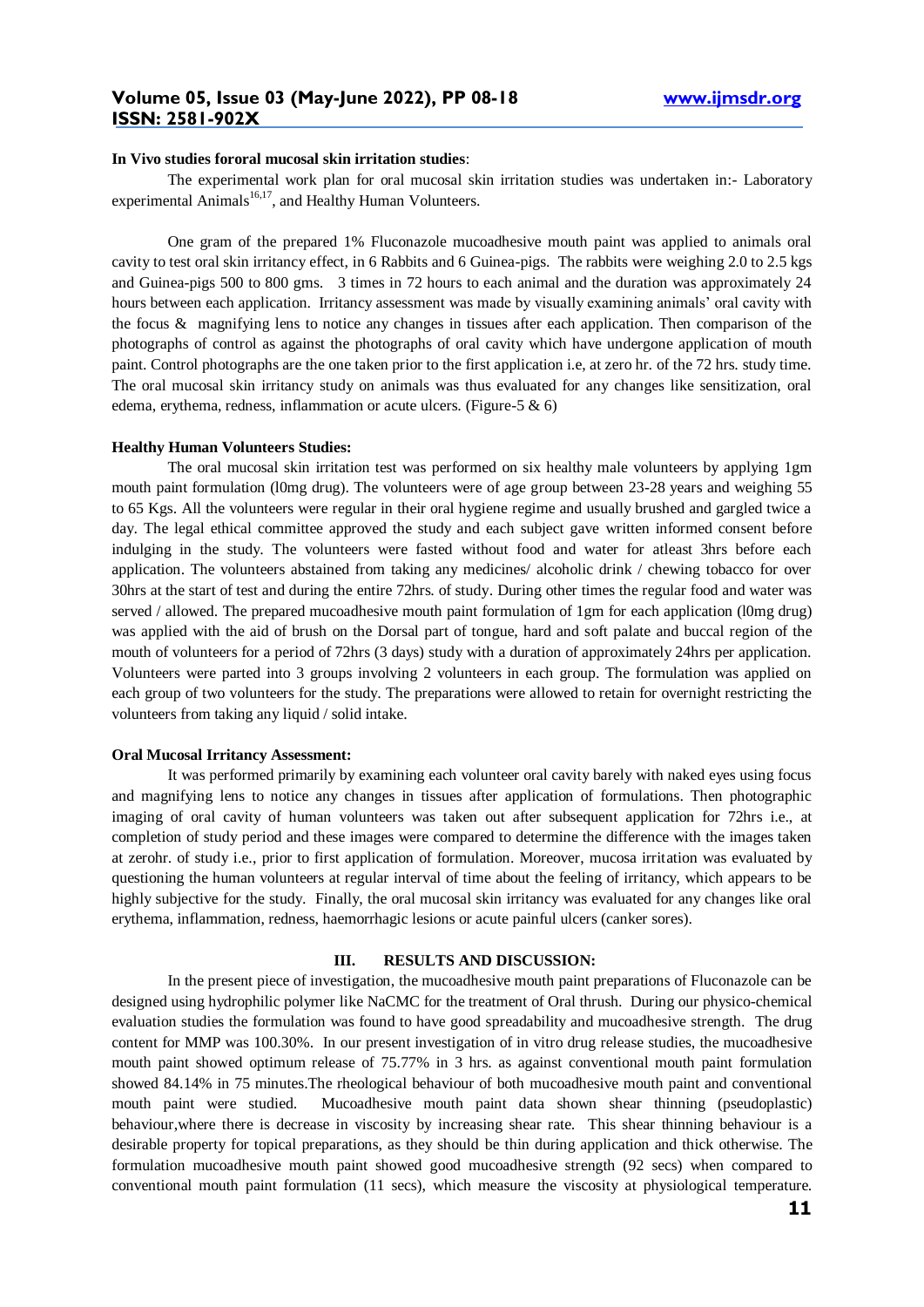#### **In Vivo studies fororal mucosal skin irritation studies**:

The experimental work plan for oral mucosal skin irritation studies was undertaken in:- Laboratory experimental Animals $^{16,17}$ , and Healthy Human Volunteers.

One gram of the prepared 1% Fluconazole mucoadhesive mouth paint was applied to animals oral cavity to test oral skin irritancy effect, in 6 Rabbits and 6 Guinea-pigs. The rabbits were weighing 2.0 to 2.5 kgs and Guinea-pigs 500 to 800 gms. 3 times in 72 hours to each animal and the duration was approximately 24 hours between each application. Irritancy assessment was made by visually examining animals' oral cavity with the focus & magnifying lens to notice any changes in tissues after each application. Then comparison of the photographs of control as against the photographs of oral cavity which have undergone application of mouth paint. Control photographs are the one taken prior to the first application i.e, at zero hr. of the 72 hrs. study time. The oral mucosal skin irritancy study on animals was thus evaluated for any changes like sensitization, oral edema, erythema, redness, inflammation or acute ulcers. (Figure-5  $\&$  6)

#### **Healthy Human Volunteers Studies:**

The oral mucosal skin irritation test was performed on six healthy male volunteers by applying 1gm mouth paint formulation (l0mg drug). The volunteers were of age group between 23-28 years and weighing 55 to 65 Kgs. All the volunteers were regular in their oral hygiene regime and usually brushed and gargled twice a day. The legal ethical committee approved the study and each subject gave written informed consent before indulging in the study. The volunteers were fasted without food and water for atleast 3hrs before each application. The volunteers abstained from taking any medicines/ alcoholic drink / chewing tobacco for over 30hrs at the start of test and during the entire 72hrs. of study. During other times the regular food and water was served / allowed. The prepared mucoadhesive mouth paint formulation of 1gm for each application (l0mg drug) was applied with the aid of brush on the Dorsal part of tongue, hard and soft palate and buccal region of the mouth of volunteers for a period of 72hrs (3 days) study with a duration of approximately 24hrs per application. Volunteers were parted into 3 groups involving 2 volunteers in each group. The formulation was applied on each group of two volunteers for the study. The preparations were allowed to retain for overnight restricting the volunteers from taking any liquid / solid intake.

#### **Oral Mucosal Irritancy Assessment:**

It was performed primarily by examining each volunteer oral cavity barely with naked eyes using focus and magnifying lens to notice any changes in tissues after application of formulations. Then photographic imaging of oral cavity of human volunteers was taken out after subsequent application for 72hrs i.e., at completion of study period and these images were compared to determine the difference with the images taken at zerohr. of study i.e., prior to first application of formulation. Moreover, mucosa irritation was evaluated by questioning the human volunteers at regular interval of time about the feeling of irritancy, which appears to be highly subjective for the study. Finally, the oral mucosal skin irritancy was evaluated for any changes like oral erythema, inflammation, redness, haemorrhagic lesions or acute painful ulcers (canker sores).

## **III. RESULTS AND DISCUSSION:**

In the present piece of investigation, the mucoadhesive mouth paint preparations of Fluconazole can be designed using hydrophilic polymer like NaCMC for the treatment of Oral thrush. During our physico-chemical evaluation studies the formulation was found to have good spreadability and mucoadhesive strength. The drug content for MMP was 100.30%. In our present investigation of in vitro drug release studies, the mucoadhesive mouth paint showed optimum release of 75.77% in 3 hrs. as against conventional mouth paint formulation showed 84.14% in 75 minutes.The rheological behaviour of both mucoadhesive mouth paint and conventional mouth paint were studied. Mucoadhesive mouth paint data shown shear thinning (pseudoplastic) behaviour,where there is decrease in viscosity by increasing shear rate. This shear thinning behaviour is a desirable property for topical preparations, as they should be thin during application and thick otherwise. The formulation mucoadhesive mouth paint showed good mucoadhesive strength (92 secs) when compared to conventional mouth paint formulation (11 secs), which measure the viscosity at physiological temperature.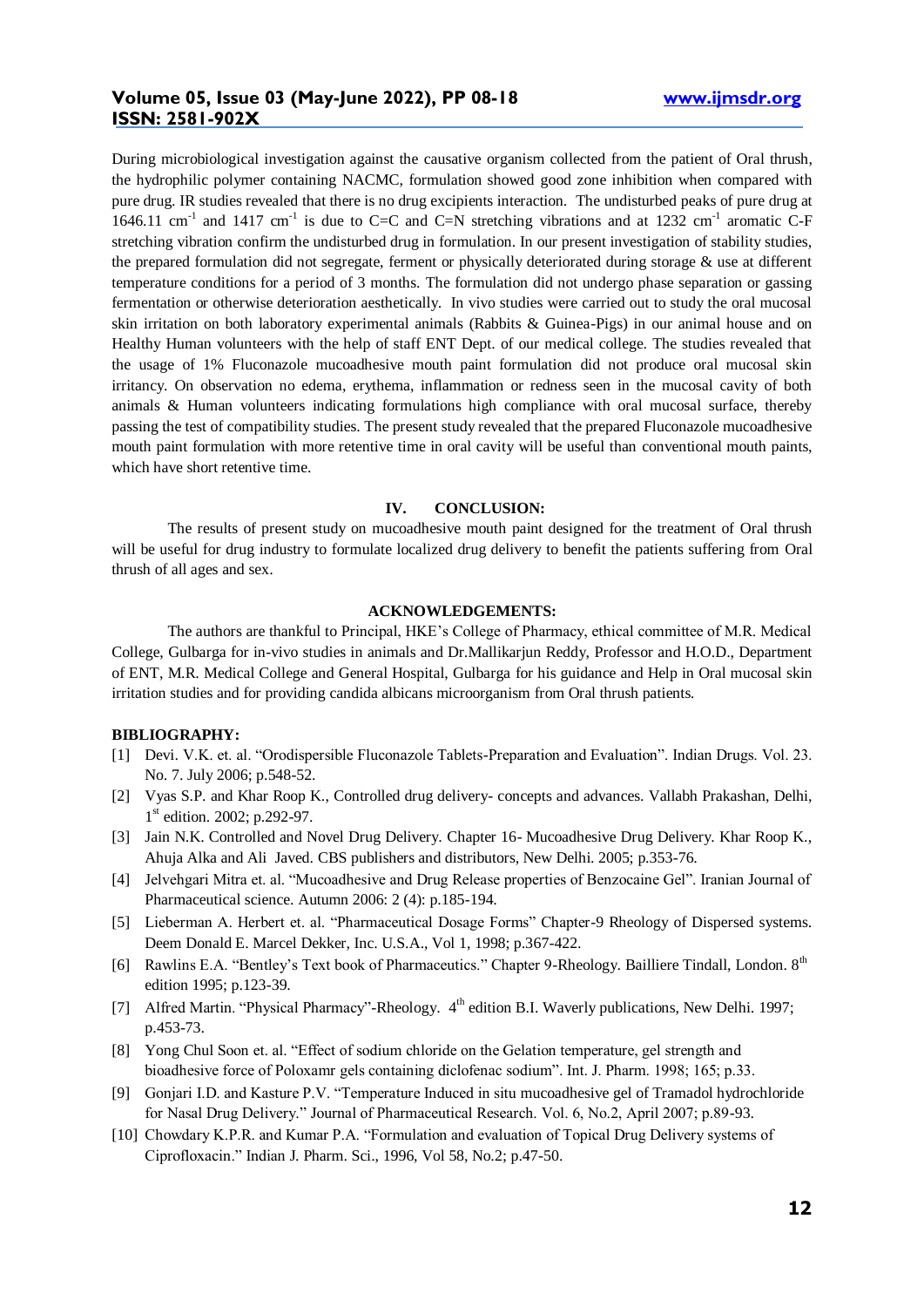# **Volume 05, Issue 03 (May-June 2022), PP 08-18 www.ijmsdr.org ISSN: 2581-902X**

During microbiological investigation against the causative organism collected from the patient of Oral thrush, the hydrophilic polymer containing NACMC, formulation showed good zone inhibition when compared with pure drug. IR studies revealed that there is no drug excipients interaction. The undisturbed peaks of pure drug at 1646.11 cm<sup>-1</sup> and 1417 cm<sup>-1</sup> is due to C=C and C=N stretching vibrations and at 1232 cm<sup>-1</sup> aromatic C-F stretching vibration confirm the undisturbed drug in formulation. In our present investigation of stability studies, the prepared formulation did not segregate, ferment or physically deteriorated during storage & use at different temperature conditions for a period of 3 months. The formulation did not undergo phase separation or gassing fermentation or otherwise deterioration aesthetically. In vivo studies were carried out to study the oral mucosal skin irritation on both laboratory experimental animals (Rabbits & Guinea-Pigs) in our animal house and on Healthy Human volunteers with the help of staff ENT Dept. of our medical college. The studies revealed that the usage of 1% Fluconazole mucoadhesive mouth paint formulation did not produce oral mucosal skin irritancy. On observation no edema, erythema, inflammation or redness seen in the mucosal cavity of both animals & Human volunteers indicating formulations high compliance with oral mucosal surface, thereby passing the test of compatibility studies. The present study revealed that the prepared Fluconazole mucoadhesive mouth paint formulation with more retentive time in oral cavity will be useful than conventional mouth paints, which have short retentive time.

#### **IV. CONCLUSION:**

The results of present study on mucoadhesive mouth paint designed for the treatment of Oral thrush will be useful for drug industry to formulate localized drug delivery to benefit the patients suffering from Oral thrush of all ages and sex.

### **ACKNOWLEDGEMENTS:**

The authors are thankful to Principal, HKE's College of Pharmacy, ethical committee of M.R. Medical College, Gulbarga for in-vivo studies in animals and Dr.Mallikarjun Reddy, Professor and H.O.D., Department of ENT, M.R. Medical College and General Hospital, Gulbarga for his guidance and Help in Oral mucosal skin irritation studies and for providing candida albicans microorganism from Oral thrush patients.

#### **BIBLIOGRAPHY:**

- [1] Devi. V.K. et. al. "Orodispersible Fluconazole Tablets-Preparation and Evaluation". Indian Drugs. Vol. 23. No. 7. July 2006; p.548-52.
- [2] Vyas S.P. and Khar Roop K., Controlled drug delivery- concepts and advances. Vallabh Prakashan, Delhi, 1<sup>st</sup> edition. 2002; p.292-97.
- [3] Jain N.K. Controlled and Novel Drug Delivery. Chapter 16- Mucoadhesive Drug Delivery. Khar Roop K., Ahuja Alka and Ali Javed. CBS publishers and distributors, New Delhi. 2005; p.353-76.
- [4] Jelvehgari Mitra et. al. "Mucoadhesive and Drug Release properties of Benzocaine Gel". Iranian Journal of Pharmaceutical science. Autumn 2006: 2 (4): p.185-194.
- [5] Lieberman A. Herbert et. al. "Pharmaceutical Dosage Forms" Chapter-9 Rheology of Dispersed systems. Deem Donald E. Marcel Dekker, Inc. U.S.A., Vol 1, 1998; p.367-422.
- [6] Rawlins E.A. "Bentley's Text book of Pharmaceutics." Chapter 9-Rheology. Bailliere Tindall, London. 8<sup>th</sup> edition 1995; p.123-39.
- [7] Alfred Martin. "Physical Pharmacy"-Rheology. 4<sup>th</sup> edition B.I. Waverly publications, New Delhi. 1997; p.453-73.
- [8] Yong Chul Soon et. al. "Effect of sodium chloride on the Gelation temperature, gel strength and bioadhesive force of Poloxamr gels containing diclofenac sodium". Int. J. Pharm. 1998; 165; p.33.
- [9] Gonjari I.D. and Kasture P.V. "Temperature Induced in situ mucoadhesive gel of Tramadol hydrochloride for Nasal Drug Delivery." Journal of Pharmaceutical Research. Vol. 6, No.2, April 2007; p.89-93.
- [10] Chowdary K.P.R. and Kumar P.A. "Formulation and evaluation of Topical Drug Delivery systems of Ciprofloxacin." Indian J. Pharm. Sci., 1996, Vol 58, No.2; p.47-50.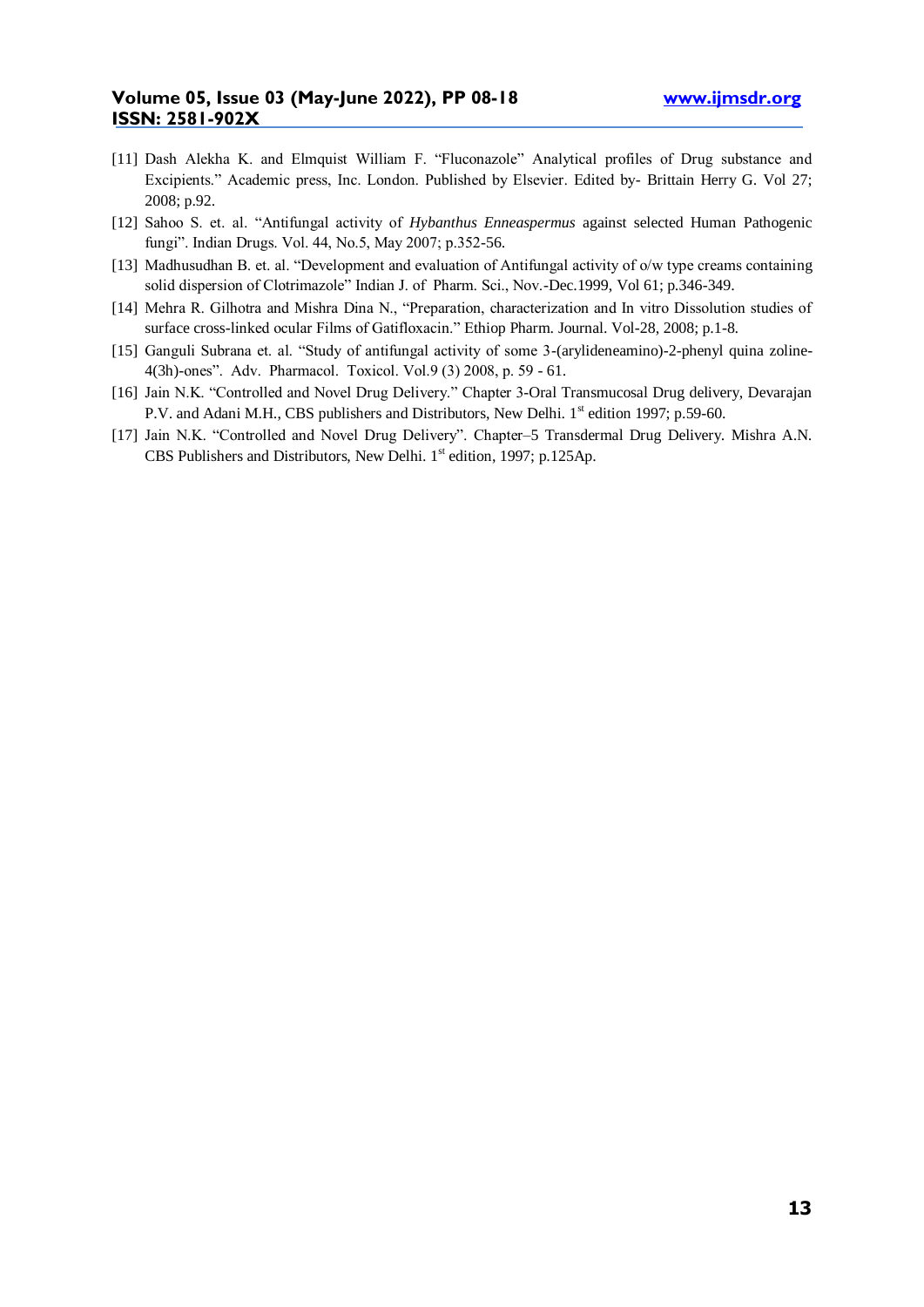- [11] Dash Alekha K. and Elmquist William F. "Fluconazole" Analytical profiles of Drug substance and Excipients." Academic press, Inc. London. Published by Elsevier. Edited by- Brittain Herry G. Vol 27; 2008; p.92.
- [12] Sahoo S. et. al. "Antifungal activity of *Hybanthus Enneaspermus* against selected Human Pathogenic fungi". Indian Drugs. Vol. 44, No.5, May 2007; p.352-56.
- [13] Madhusudhan B. et. al. "Development and evaluation of Antifungal activity of o/w type creams containing solid dispersion of Clotrimazole" Indian J. of Pharm. Sci., Nov.-Dec.1999, Vol 61; p.346-349.
- [14] Mehra R. Gilhotra and Mishra Dina N., "Preparation, characterization and In vitro Dissolution studies of surface cross-linked ocular Films of Gatifloxacin." Ethiop Pharm. Journal. Vol-28, 2008; p.1-8.
- [15] Ganguli Subrana et. al. "Study of antifungal activity of some 3-(arylideneamino)-2-phenyl quina zoline-4(3h)-ones". Adv. Pharmacol. Toxicol. Vol.9 (3) 2008, p. 59 - 61.
- [16] Jain N.K. "Controlled and Novel Drug Delivery." Chapter 3-Oral Transmucosal Drug delivery, Devarajan P.V. and Adani M.H., CBS publishers and Distributors, New Delhi. 1<sup>st</sup> edition 1997; p.59-60.
- [17] Jain N.K. "Controlled and Novel Drug Delivery". Chapter–5 Transdermal Drug Delivery. Mishra A.N. CBS Publishers and Distributors, New Delhi.  $1<sup>st</sup>$  edition, 1997; p.125Ap.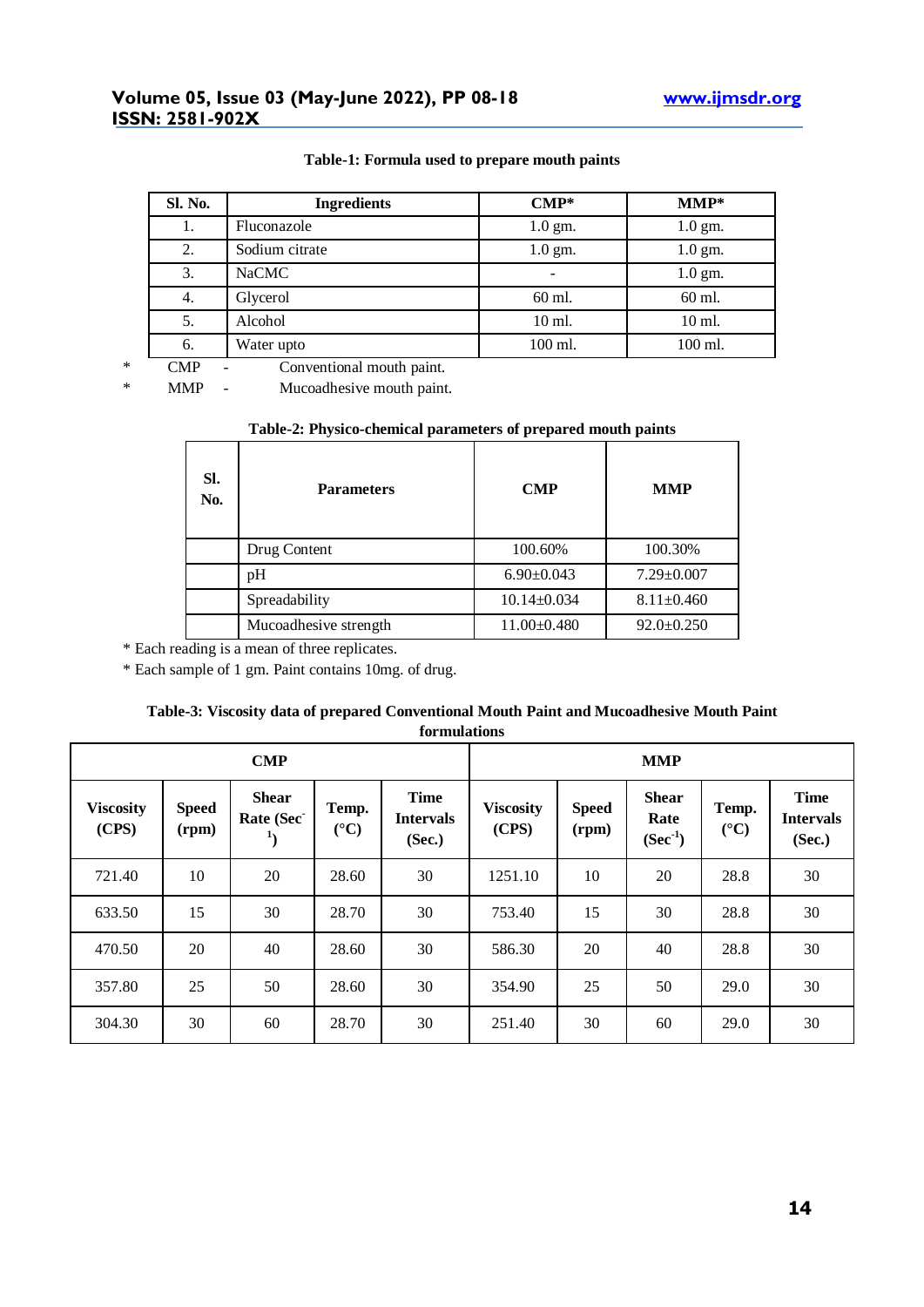# **Volume 05, Issue 03 (May-June 2022), PP 08-18 www.ijmsdr.org ISSN: 2581-902X**

| <b>Sl. No.</b> | <b>Ingredients</b> | $\mathbf{CMP}^*$         | $MMP*$    |
|----------------|--------------------|--------------------------|-----------|
| 1.             | Fluconazole        | $1.0$ gm.                | $1.0$ gm. |
| 2.             | Sodium citrate     | $1.0$ gm.                | $1.0$ gm. |
| 3.             | <b>NaCMC</b>       | $\overline{\phantom{0}}$ | $1.0$ gm. |
| 4.             | Glycerol           | 60 ml.                   | 60 ml.    |
| 5.             | Alcohol            | 10 ml.                   | $10$ ml.  |
| 6.             | Water upto         | 100 ml.                  | 100 ml.   |

## **Table-1: Formula used to prepare mouth paints**

\* CMP - Conventional mouth paint.

\* MMP - Mucoadhesive mouth paint.

## **Table-2: Physico-chemical parameters of prepared mouth paints**

| SI.<br>No. | <b>Parameters</b>     | <b>CMP</b>        | <b>MMP</b>       |  |
|------------|-----------------------|-------------------|------------------|--|
|            | Drug Content          | 100.60%           | 100.30%          |  |
|            | pH                    | $6.90 \pm 0.043$  | $7.29 \pm 0.007$ |  |
|            | Spreadability         | $10.14 \pm 0.034$ | $8.11 \pm 0.460$ |  |
|            | Mucoadhesive strength | $11.00 \pm 0.480$ | $92.0 \pm 0.250$ |  |

\* Each reading is a mean of three replicates.

\* Each sample of 1 gm. Paint contains 10mg. of drug.

## **Table-3: Viscosity data of prepared Conventional Mouth Paint and Mucoadhesive Mouth Paint formulations**

| <b>CMP</b>                |                       |                           |                          | <b>MMP</b>                                |                           |                       |                                      |                                |                                           |
|---------------------------|-----------------------|---------------------------|--------------------------|-------------------------------------------|---------------------------|-----------------------|--------------------------------------|--------------------------------|-------------------------------------------|
| <b>Viscosity</b><br>(CPS) | <b>Speed</b><br>(rpm) | <b>Shear</b><br>Rate (Sec | Temp.<br>$({}^{\circ}C)$ | <b>Time</b><br><b>Intervals</b><br>(Sec.) | <b>Viscosity</b><br>(CPS) | <b>Speed</b><br>(rpm) | <b>Shear</b><br>Rate<br>$(Sec^{-1})$ | Temp.<br>$({}^{\circ}{\rm C})$ | <b>Time</b><br><b>Intervals</b><br>(Sec.) |
| 721.40                    | 10                    | 20                        | 28.60                    | 30                                        | 1251.10                   | 10                    | 20                                   | 28.8                           | 30                                        |
| 633.50                    | 15                    | 30                        | 28.70                    | 30                                        | 753.40                    | 15                    | 30                                   | 28.8                           | 30                                        |
| 470.50                    | 20                    | 40                        | 28.60                    | 30                                        | 586.30                    | 20                    | 40                                   | 28.8                           | 30                                        |
| 357.80                    | 25                    | 50                        | 28.60                    | 30                                        | 354.90                    | 25                    | 50                                   | 29.0                           | 30                                        |
| 304.30                    | 30                    | 60                        | 28.70                    | 30                                        | 251.40                    | 30                    | 60                                   | 29.0                           | 30                                        |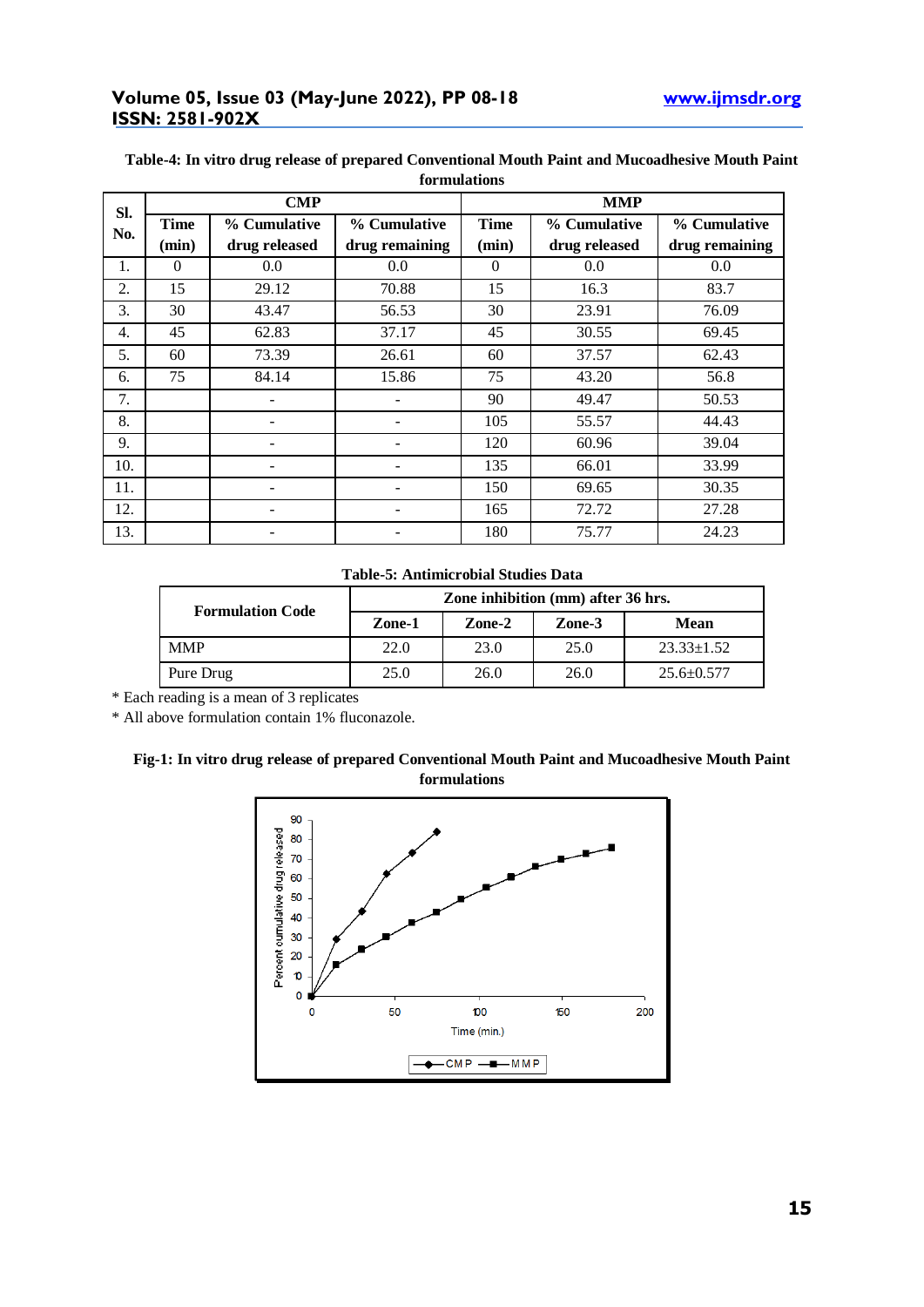# **Volume 05, Issue 03 (May-June 2022), PP 08-18 www.ijmsdr.org ISSN: 2581-902X**

| SI.<br>No. |             | <b>CMP</b>        |                | <b>MMP</b>  |               |                |  |  |
|------------|-------------|-------------------|----------------|-------------|---------------|----------------|--|--|
|            | <b>Time</b> | % Cumulative      | % Cumulative   | <b>Time</b> | % Cumulative  | % Cumulative   |  |  |
|            | (min)       | drug released     | drug remaining | (min)       | drug released | drug remaining |  |  |
| 1.         | $\Omega$    | 0.0               | 0.0            | $\theta$    | 0.0           | 0.0            |  |  |
| 2.         | 15          | 29.12             | 70.88          | 15          | 16.3          | 83.7           |  |  |
| 3.         | 30          | 43.47             | 56.53          | 30          | 23.91         | 76.09          |  |  |
| 4.         | 45          | 62.83             | 37.17          | 45          | 30.55         | 69.45          |  |  |
| 5.         | 60          | 73.39             | 26.61          | 60          | 37.57         | 62.43          |  |  |
| 6.         | 75          | 84.14             | 15.86          | 75          | 43.20         | 56.8           |  |  |
| 7.         |             |                   |                | 90          | 49.47         | 50.53          |  |  |
| 8.         |             | $\qquad \qquad -$ |                | 105         | 55.57         | 44.43          |  |  |
| 9.         |             |                   |                | 120         | 60.96         | 39.04          |  |  |
| 10.        |             |                   |                | 135         | 66.01         | 33.99          |  |  |
| 11.        |             |                   |                | 150         | 69.65         | 30.35          |  |  |
| 12.        |             |                   |                | 165         | 72.72         | 27.28          |  |  |
| 13.        |             |                   |                | 180         | 75.77         | 24.23          |  |  |

## **Table-4: In vitro drug release of prepared Conventional Mouth Paint and Mucoadhesive Mouth Paint formulations**

## **Table-5: Antimicrobial Studies Data**

| <b>Formulation Code</b> | Zone inhibition (mm) after 36 hrs. |        |        |                  |  |  |
|-------------------------|------------------------------------|--------|--------|------------------|--|--|
|                         | Zone-1                             | Zone-2 | Zone-3 | <b>Mean</b>      |  |  |
| <b>MMP</b>              | 22.0                               | 23.0   | 25.0   | $23.33 \pm 1.52$ |  |  |
| Pure Drug               | 25.0                               | 26.0   | 26.0   | $25.6 \pm 0.577$ |  |  |

\* Each reading is a mean of 3 replicates

\* All above formulation contain 1% fluconazole.

## **Fig-1: In vitro drug release of prepared Conventional Mouth Paint and Mucoadhesive Mouth Paint formulations**

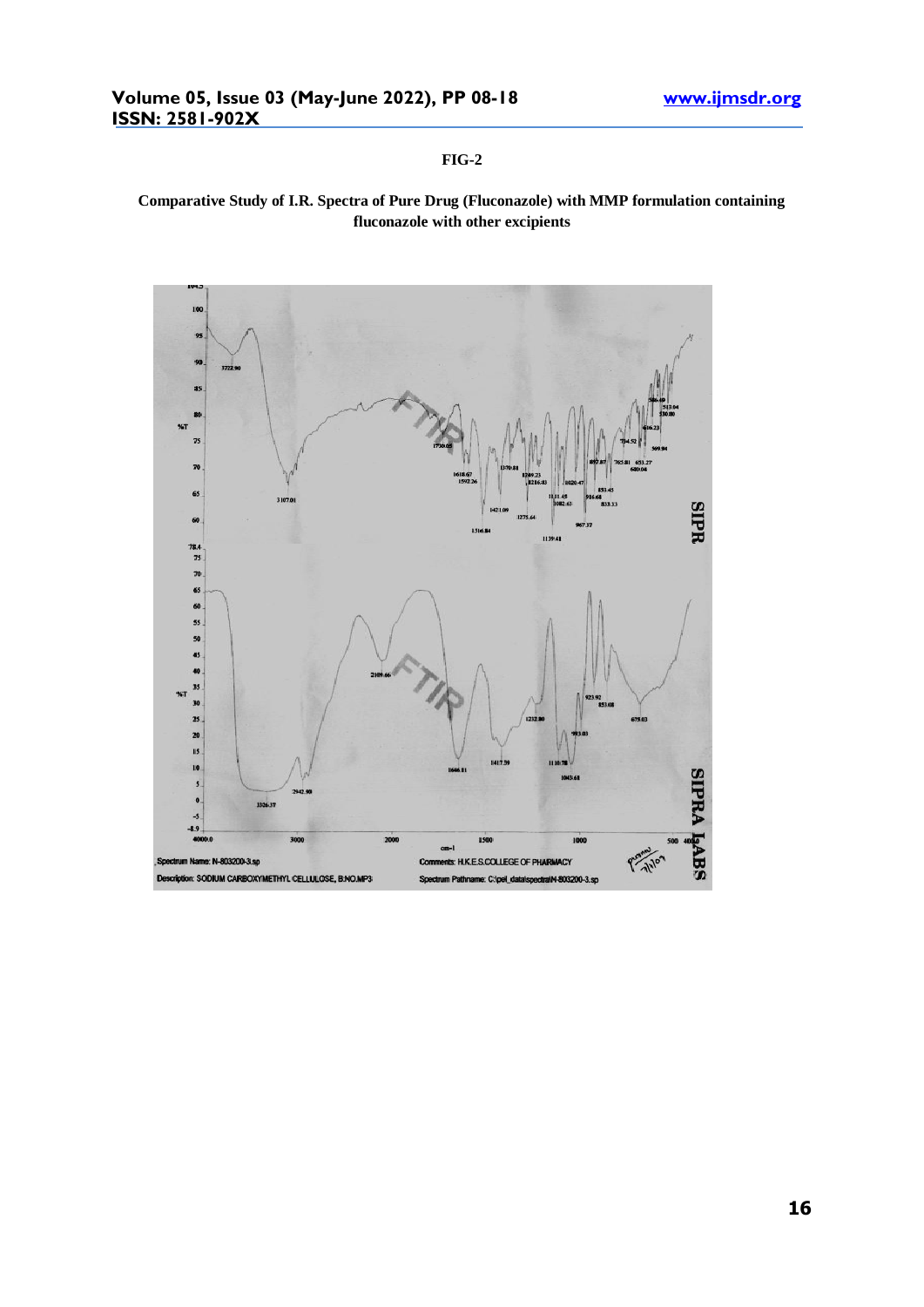## **FIG-2**

# **Comparative Study of I.R. Spectra of Pure Drug (Fluconazole) with MMP formulation containing fluconazole with other excipients**

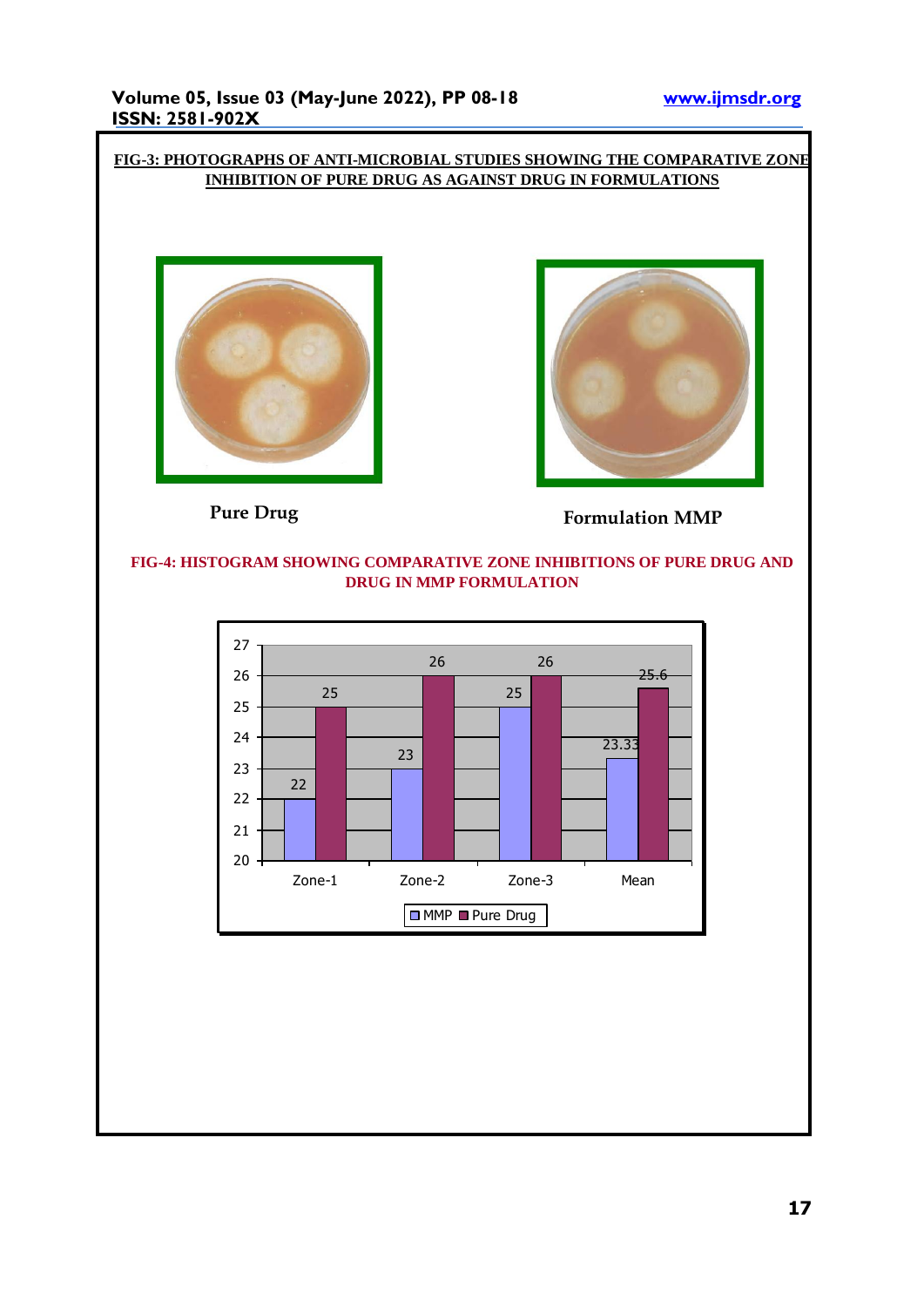# **FIG-3: PHOTOGRAPHS OF ANTI-MICROBIAL STUDIES SHOWING THE COMPARATIVE ZONE INHIBITION OF PURE DRUG AS AGAINST DRUG IN FORMULATIONS**





**Pure Drug Formulation MMP** 

## **FIG-4: HISTOGRAM SHOWING COMPARATIVE ZONE INHIBITIONS OF PURE DRUG AND DRUG IN MMP FORMULATION**